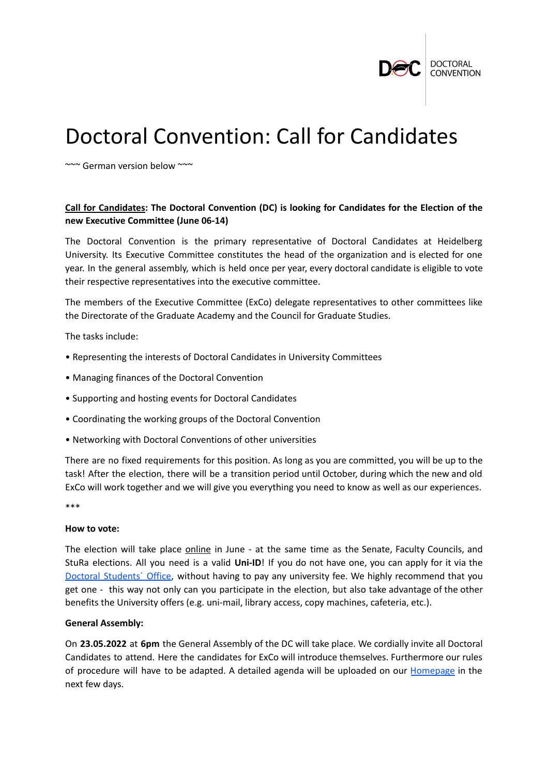

# Doctoral Convention: Call for Candidates

~~~ German version below ~~~

## **Call for Candidates: The Doctoral Convention (DC) is looking for Candidates for the Election of the new Executive Committee (June 06-14)**

The Doctoral Convention is the primary representative of Doctoral Candidates at Heidelberg University. Its Executive Committee constitutes the head of the organization and is elected for one year. In the general assembly, which is held once per year, every doctoral candidate is eligible to vote their respective representatives into the executive committee.

The members of the Executive Committee (ExCo) delegate representatives to other committees like the Directorate of the Graduate Academy and the Council for Graduate Studies.

The tasks include:

- Representing the interests of Doctoral Candidates in University Committees
- Managing finances of the Doctoral Convention
- Supporting and hosting events for Doctoral Candidates
- Coordinating the working groups of the Doctoral Convention
- Networking with Doctoral Conventions of other universities

There are no fixed requirements for this position. As long as you are committed, you will be up to the task! After the election, there will be a transition period until October, during which the new and old ExCo will work together and we will give you everything you need to know as well as our experiences.

\*\*\*

#### **How to vote:**

The election will take place online in June - at the same time as the Senate, Faculty Councils, and StuRa elections. All you need is a valid **Uni-ID**! If you do not have one, you can apply for it via the Doctoral Students' Office, without having to pay any university fee. We highly recommend that you get one - this way not only can you participate in the election, but also take advantage of the other benefits the University offers (e.g. uni-mail, library access, copy machines, cafeteria, etc.).

### **General Assembly:**

On **23.05.2022** at **6pm** the General Assembly of the DC will take place. We cordially invite all Doctoral Candidates to attend. Here the candidates for ExCo will introduce themselves. Furthermore our rules of procedure will have to be adapted. A detailed agenda will be uploaded on our [Homepage](https://www.doktorandenkonvent.uni-heidelberg.de/index.en.html) in the next few days.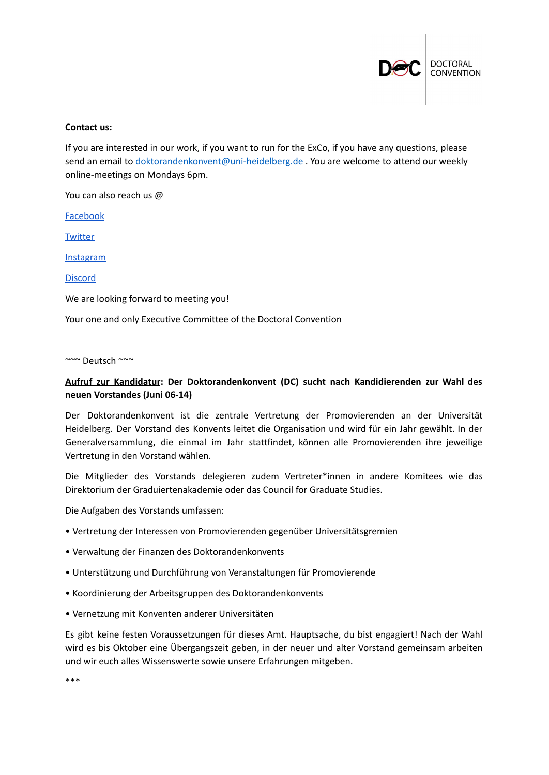

#### **Contact us:**

If you are interested in our work, if you want to run for the ExCo, if you have any questions, please send an email to [doktorandenkonvent@uni-heidelberg.de](mailto:doktorandenkonvent@uni-heidelberg.de) . You are welcome to attend our weekly online-meetings on Mondays 6pm.

You can also reach us @

[Facebook](https://www.facebook.com/DC.UniHD/)

**[Twitter](https://twitter.com/doktorandenkon1?s=09)** 

[Instagram](https://www.instagram.com/doktorandenkonvent_heidelberg/?igshid=10oogngrj5uzo)

[Discord](https://discord.com/invite/vZPbYh5Xft)

We are looking forward to meeting you!

Your one and only Executive Committee of the Doctoral Convention

~~~ Deutsch ~~~

## **Aufruf zur Kandidatur: Der Doktorandenkonvent (DC) sucht nach Kandidierenden zur Wahl des neuen Vorstandes (Juni 06-14)**

Der Doktorandenkonvent ist die zentrale Vertretung der Promovierenden an der Universität Heidelberg. Der Vorstand des Konvents leitet die Organisation und wird für ein Jahr gewählt. In der Generalversammlung, die einmal im Jahr stattfindet, können alle Promovierenden ihre jeweilige Vertretung in den Vorstand wählen.

Die Mitglieder des Vorstands delegieren zudem Vertreter\*innen in andere Komitees wie das Direktorium der Graduiertenakademie oder das Council for Graduate Studies.

Die Aufgaben des Vorstands umfassen:

- Vertretung der Interessen von Promovierenden gegenüber Universitätsgremien
- Verwaltung der Finanzen des Doktorandenkonvents
- Unterstützung und Durchführung von Veranstaltungen für Promovierende
- Koordinierung der Arbeitsgruppen des Doktorandenkonvents
- Vernetzung mit Konventen anderer Universitäten

Es gibt keine festen Voraussetzungen für dieses Amt. Hauptsache, du bist engagiert! Nach der Wahl wird es bis Oktober eine Übergangszeit geben, in der neuer und alter Vorstand gemeinsam arbeiten und wir euch alles Wissenswerte sowie unsere Erfahrungen mitgeben.

\*\*\*